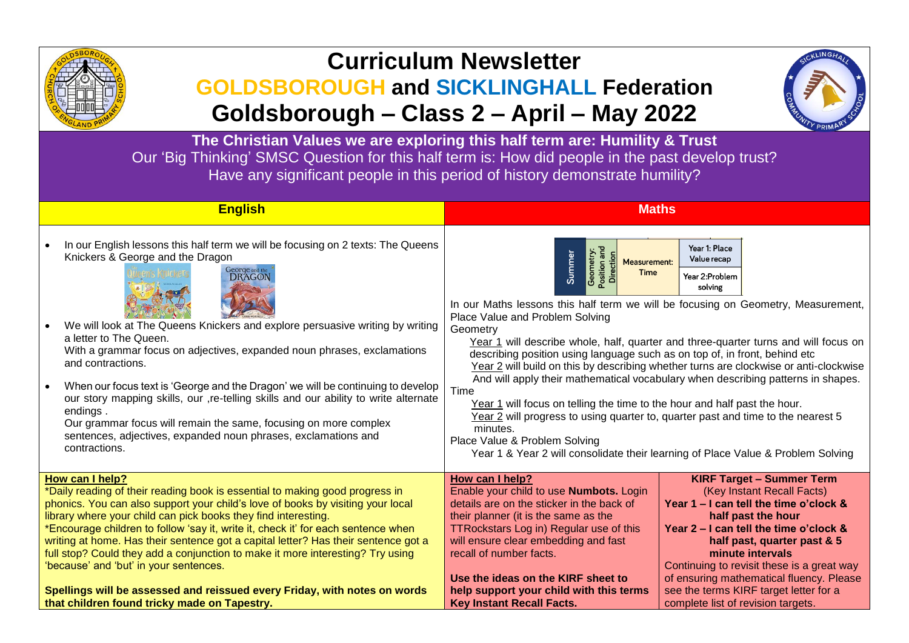

# **Curriculum Newsletter**

## **GOLDSBOROUGH and SICKLINGHALL Federation Goldsborough – Class 2 – April – May 2022**



**The Christian Values we are exploring this half term are: Humility & Trust** Our 'Big Thinking' SMSC Question for this half term is: How did people in the past develop trust? Have any significant people in this period of history demonstrate humility?

|                                                                                                                                                   | <b>English</b>                                                                                                                                                                                                                                                                                                                                                                                                                                                                                                                        | <b>Maths</b>                                                                                                                                                                                                                                                                                                                                                                                                                                                                                                                                                                                                                                                                                                                                                                                                                                                                                                                                        |                                                                              |
|---------------------------------------------------------------------------------------------------------------------------------------------------|---------------------------------------------------------------------------------------------------------------------------------------------------------------------------------------------------------------------------------------------------------------------------------------------------------------------------------------------------------------------------------------------------------------------------------------------------------------------------------------------------------------------------------------|-----------------------------------------------------------------------------------------------------------------------------------------------------------------------------------------------------------------------------------------------------------------------------------------------------------------------------------------------------------------------------------------------------------------------------------------------------------------------------------------------------------------------------------------------------------------------------------------------------------------------------------------------------------------------------------------------------------------------------------------------------------------------------------------------------------------------------------------------------------------------------------------------------------------------------------------------------|------------------------------------------------------------------------------|
|                                                                                                                                                   | In our English lessons this half term we will be focusing on 2 texts: The Queens<br>Knickers & George and the Dragon<br>George and the<br>DRAGON<br>We will look at The Queens Knickers and explore persuasive writing by writing<br>a letter to The Queen.<br>With a grammar focus on adjectives, expanded noun phrases, exclamations<br>and contractions.<br>When our focus text is 'George and the Dragon' we will be continuing to develop<br>our story mapping skills, our ,re-telling skills and our ability to write alternate | Year 1: Place<br>Position and<br>Geometry:<br>Summer<br><b>Direction</b><br>Value recap<br><b>Measurement:</b><br>Time<br>Year 2:Problem<br>solving<br>In our Maths lessons this half term we will be focusing on Geometry, Measurement,<br>Place Value and Problem Solving<br>Geometry<br>Year 1 will describe whole, half, quarter and three-quarter turns and will focus on<br>describing position using language such as on top of, in front, behind etc<br>Year 2 will build on this by describing whether turns are clockwise or anti-clockwise<br>And will apply their mathematical vocabulary when describing patterns in shapes.<br>Time<br>Year 1 will focus on telling the time to the hour and half past the hour.<br>Year 2 will progress to using quarter to, quarter past and time to the nearest 5<br>minutes.<br>Place Value & Problem Solving<br>Year 1 & Year 2 will consolidate their learning of Place Value & Problem Solving |                                                                              |
|                                                                                                                                                   | endings.<br>Our grammar focus will remain the same, focusing on more complex<br>sentences, adjectives, expanded noun phrases, exclamations and<br>contractions.                                                                                                                                                                                                                                                                                                                                                                       |                                                                                                                                                                                                                                                                                                                                                                                                                                                                                                                                                                                                                                                                                                                                                                                                                                                                                                                                                     |                                                                              |
|                                                                                                                                                   | How can I help?                                                                                                                                                                                                                                                                                                                                                                                                                                                                                                                       | How can I help?                                                                                                                                                                                                                                                                                                                                                                                                                                                                                                                                                                                                                                                                                                                                                                                                                                                                                                                                     | <b>KIRF Target - Summer Term</b>                                             |
| *Daily reading of their reading book is essential to making good progress in                                                                      |                                                                                                                                                                                                                                                                                                                                                                                                                                                                                                                                       | Enable your child to use <b>Numbots.</b> Login                                                                                                                                                                                                                                                                                                                                                                                                                                                                                                                                                                                                                                                                                                                                                                                                                                                                                                      | (Key Instant Recall Facts)                                                   |
| phonics. You can also support your child's love of books by visiting your local<br>library where your child can pick books they find interesting. |                                                                                                                                                                                                                                                                                                                                                                                                                                                                                                                                       | details are on the sticker in the back of<br>their planner (it is the same as the                                                                                                                                                                                                                                                                                                                                                                                                                                                                                                                                                                                                                                                                                                                                                                                                                                                                   | Year 1 - I can tell the time o'clock &<br>half past the hour                 |
| *Encourage children to follow 'say it, write it, check it' for each sentence when                                                                 |                                                                                                                                                                                                                                                                                                                                                                                                                                                                                                                                       | TTRockstars Log in) Regular use of this                                                                                                                                                                                                                                                                                                                                                                                                                                                                                                                                                                                                                                                                                                                                                                                                                                                                                                             | Year 2 – I can tell the time o'clock &                                       |
| writing at home. Has their sentence got a capital letter? Has their sentence got a                                                                |                                                                                                                                                                                                                                                                                                                                                                                                                                                                                                                                       | will ensure clear embedding and fast                                                                                                                                                                                                                                                                                                                                                                                                                                                                                                                                                                                                                                                                                                                                                                                                                                                                                                                | half past, quarter past & 5                                                  |
| full stop? Could they add a conjunction to make it more interesting? Try using<br>'because' and 'but' in your sentences.                          |                                                                                                                                                                                                                                                                                                                                                                                                                                                                                                                                       | recall of number facts.                                                                                                                                                                                                                                                                                                                                                                                                                                                                                                                                                                                                                                                                                                                                                                                                                                                                                                                             | minute intervals<br>Continuing to revisit these is a great way               |
|                                                                                                                                                   |                                                                                                                                                                                                                                                                                                                                                                                                                                                                                                                                       | Use the ideas on the KIRF sheet to                                                                                                                                                                                                                                                                                                                                                                                                                                                                                                                                                                                                                                                                                                                                                                                                                                                                                                                  | of ensuring mathematical fluency. Please                                     |
| Spellings will be assessed and reissued every Friday, with notes on words<br>that children found tricky made on Tapestry.                         |                                                                                                                                                                                                                                                                                                                                                                                                                                                                                                                                       | help support your child with this terms<br><b>Key Instant Recall Facts.</b>                                                                                                                                                                                                                                                                                                                                                                                                                                                                                                                                                                                                                                                                                                                                                                                                                                                                         | see the terms KIRF target letter for a<br>complete list of revision targets. |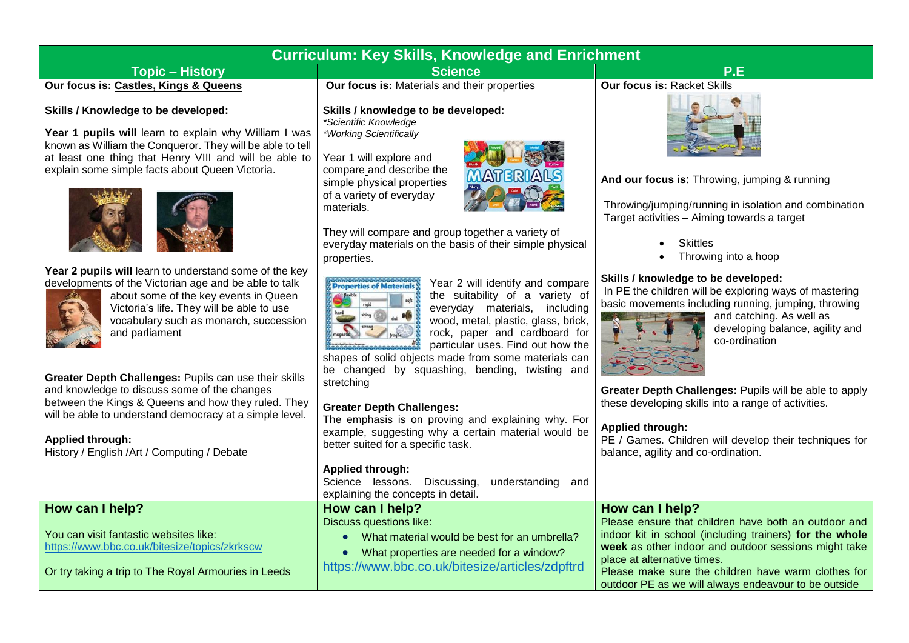#### **Curriculum: Key Skills, Knowledge and Enrichment Topic – History Science P.E Our focus is: Castles, Kings & Queens Our focus is:** Materials and their properties **Our focus is:** Racket Skills

#### **Skills / Knowledge to be developed:**

Year 1 pupils will learn to explain why William I was known as William the Conqueror. They will be able to tell at least one thing that Henry VIII and will be able to explain some simple facts about Queen Victoria.



**Year 2 pupils will** learn to understand some of the key developments of the Victorian age and be able to talk



about some of the key events in Queen Victoria's life. They will be able to use vocabulary such as monarch, succession and parliament

**Greater Depth Challenges:** Pupils can use their skills and knowledge to discuss some of the changes between the Kings & Queens and how they ruled. They will be able to understand democracy at a simple level.

#### **Applied through:**

**How can I help?**

History / English /Art / Computing / Debate

You can visit fantastic websites like:

<https://www.bbc.co.uk/bitesize/topics/zkrkscw>

Or try taking a trip to The Royal Armouries in Leeds

**Skills / knowledge to be developed:** *\*Scientific Knowledge \*Working Scientifically*

Year 1 will explore and compare and describe the simple physical properties of a variety of everyday materials.



They will compare and group together a variety of everyday materials on the basis of their simple physical properties.



Year 2 will identify and compare the suitability of a variety of everyday materials, including wood, metal, plastic, glass, brick, rock, paper and cardboard for particular uses. Find out how the

shapes of solid objects made from some materials can be changed by squashing, bending, twisting and stretching

#### **Greater Depth Challenges:**

The emphasis is on proving and explaining why. For example, suggesting why a certain material would be better suited for a specific task.

#### **Applied through:**

Science lessons. Discussing, understanding and explaining the concepts in detail.

**How can I help?**

Discuss questions like:

- What material would be best for an umbrella?
- What properties are needed for a window?

<https://www.bbc.co.uk/bitesize/articles/zdpftrd>





**And our focus is**: Throwing, jumping & running

Throwing/jumping/running in isolation and combination Target activities – Aiming towards a target

- **Skittles**
- Throwing into a hoop

#### **Skills / knowledge to be developed:**

In PE the children will be exploring ways of mastering basic movements including running, jumping, throwing



and catching. As well as developing balance, agility and co-ordination

**Greater Depth Challenges:** Pupils will be able to apply these developing skills into a range of activities.

#### **Applied through:**

PE / Games. Children will develop their techniques for balance, agility and co-ordination.

### **How can I help?**

Please ensure that children have both an outdoor and indoor kit in school (including trainers) **for the whole week** as other indoor and outdoor sessions might take place at alternative times.

Please make sure the children have warm clothes for outdoor PE as we will always endeavour to be outside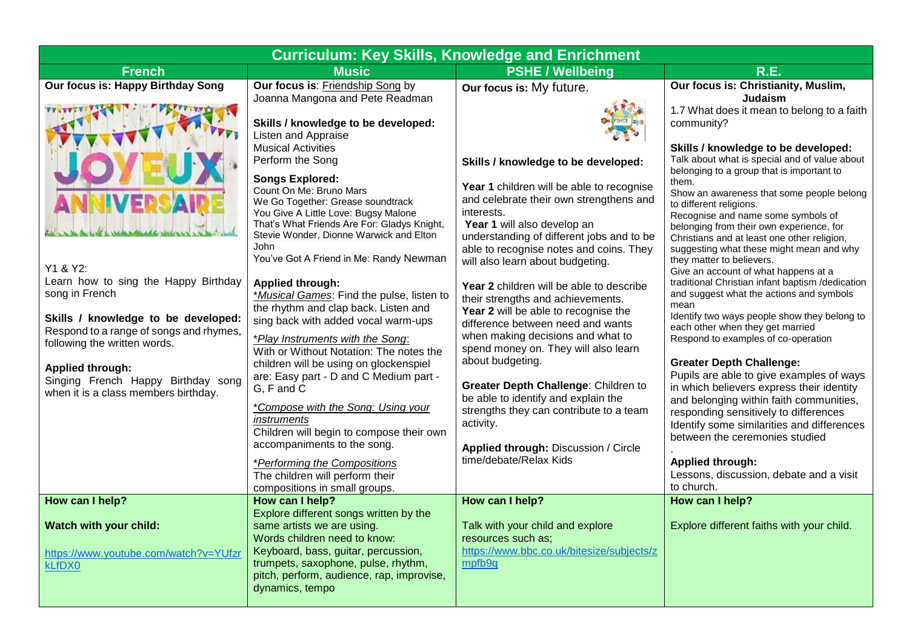| <b>Curriculum: Key Skills, Knowledge and Enrichment</b>                                                                                                                                                                                                                                                                                                |                                                                                                                                                                                                                                                                                                                                                                                                                                                                                                                                                                                                                                                                                                                                                                                                                                                                                                                                                                                                                                               |                                                                                                                                                                                                                                                                                                                                                                                                                                                                                                                                                                                                                                                                                                                                                                                                          |                                                                                                                                                                                                                                                                                                                                                                                                                                                                                                                                                                                                                                                                                                                                                                                                                                                                                                                                                                                                                                                                                                                                                                                                           |  |  |  |
|--------------------------------------------------------------------------------------------------------------------------------------------------------------------------------------------------------------------------------------------------------------------------------------------------------------------------------------------------------|-----------------------------------------------------------------------------------------------------------------------------------------------------------------------------------------------------------------------------------------------------------------------------------------------------------------------------------------------------------------------------------------------------------------------------------------------------------------------------------------------------------------------------------------------------------------------------------------------------------------------------------------------------------------------------------------------------------------------------------------------------------------------------------------------------------------------------------------------------------------------------------------------------------------------------------------------------------------------------------------------------------------------------------------------|----------------------------------------------------------------------------------------------------------------------------------------------------------------------------------------------------------------------------------------------------------------------------------------------------------------------------------------------------------------------------------------------------------------------------------------------------------------------------------------------------------------------------------------------------------------------------------------------------------------------------------------------------------------------------------------------------------------------------------------------------------------------------------------------------------|-----------------------------------------------------------------------------------------------------------------------------------------------------------------------------------------------------------------------------------------------------------------------------------------------------------------------------------------------------------------------------------------------------------------------------------------------------------------------------------------------------------------------------------------------------------------------------------------------------------------------------------------------------------------------------------------------------------------------------------------------------------------------------------------------------------------------------------------------------------------------------------------------------------------------------------------------------------------------------------------------------------------------------------------------------------------------------------------------------------------------------------------------------------------------------------------------------------|--|--|--|
| <b>French</b>                                                                                                                                                                                                                                                                                                                                          | <b>Music</b>                                                                                                                                                                                                                                                                                                                                                                                                                                                                                                                                                                                                                                                                                                                                                                                                                                                                                                                                                                                                                                  | <b>PSHE / Wellbeing</b>                                                                                                                                                                                                                                                                                                                                                                                                                                                                                                                                                                                                                                                                                                                                                                                  | <b>R.E.</b>                                                                                                                                                                                                                                                                                                                                                                                                                                                                                                                                                                                                                                                                                                                                                                                                                                                                                                                                                                                                                                                                                                                                                                                               |  |  |  |
| <b>Our focus is: Happy Birthday Song</b><br><b>VE</b><br>Y1 & Y2:<br>Learn how to sing the Happy Birthday<br>song in French<br>Skills / knowledge to be developed:<br>Respond to a range of songs and rhymes,<br>following the written words.<br><b>Applied through:</b><br>Singing French Happy Birthday song<br>when it is a class members birthday. | Our focus is: Friendship Song by<br>Joanna Mangona and Pete Readman<br>Skills / knowledge to be developed:<br>Listen and Appraise<br><b>Musical Activities</b><br>Perform the Song<br><b>Songs Explored:</b><br>Count On Me: Bruno Mars<br>We Go Together: Grease soundtrack<br>You Give A Little Love: Bugsy Malone<br>That's What Friends Are For: Gladys Knight,<br>Stevie Wonder, Dionne Warwick and Elton<br>John<br>You've Got A Friend in Me: Randy Newman<br><b>Applied through:</b><br>*Musical Games: Find the pulse, listen to<br>the rhythm and clap back. Listen and<br>sing back with added vocal warm-ups<br>*Play Instruments with the Song:<br>With or Without Notation: The notes the<br>children will be using on glockenspiel<br>are: Easy part - D and C Medium part -<br>G, F and C<br>*Compose with the Song: Using your<br>instruments<br>Children will begin to compose their own<br>accompaniments to the song.<br>*Performing the Compositions<br>The children will perform their<br>compositions in small groups. | Our focus is: My future.<br>Skills / knowledge to be developed:<br>Year 1 children will be able to recognise<br>and celebrate their own strengthens and<br>interests.<br>Year 1 will also develop an<br>understanding of different jobs and to be<br>able to recognise notes and coins. They<br>will also learn about budgeting.<br>Year 2 children will be able to describe<br>their strengths and achievements.<br>Year 2 will be able to recognise the<br>difference between need and wants<br>when making decisions and what to<br>spend money on. They will also learn<br>about budgeting.<br>Greater Depth Challenge: Children to<br>be able to identify and explain the<br>strengths they can contribute to a team<br>activity.<br>Applied through: Discussion / Circle<br>time/debate/Relax Kids | Our focus is: Christianity, Muslim,<br>Judaism<br>1.7 What does it mean to belong to a faith<br>community?<br>Skills / knowledge to be developed:<br>Talk about what is special and of value about<br>belonging to a group that is important to<br>them.<br>Show an awareness that some people belong<br>to different religions.<br>Recognise and name some symbols of<br>belonging from their own experience, for<br>Christians and at least one other religion,<br>suggesting what these might mean and why<br>they matter to believers.<br>Give an account of what happens at a<br>traditional Christian infant baptism /dedication<br>and suggest what the actions and symbols<br>mean<br>Identify two ways people show they belong to<br>each other when they get married<br>Respond to examples of co-operation<br><b>Greater Depth Challenge:</b><br>Pupils are able to give examples of ways<br>in which believers express their identity<br>and belonging within faith communities,<br>responding sensitively to differences<br>Identify some similarities and differences<br>between the ceremonies studied<br><b>Applied through:</b><br>Lessons, discussion, debate and a visit<br>to church. |  |  |  |
| How can I help?<br>Watch with your child:<br>https://www.youtube.com/watch?v=YUfzr<br>kLfDX0                                                                                                                                                                                                                                                           | How can I help?<br>Explore different songs written by the<br>same artists we are using.<br>Words children need to know:<br>Keyboard, bass, guitar, percussion,<br>trumpets, saxophone, pulse, rhythm,<br>pitch, perform, audience, rap, improvise,<br>dynamics, tempo                                                                                                                                                                                                                                                                                                                                                                                                                                                                                                                                                                                                                                                                                                                                                                         | How can I help?<br>Talk with your child and explore<br>resources such as;<br>https://www.bbc.co.uk/bitesize/subjects/z<br>mpfb9q                                                                                                                                                                                                                                                                                                                                                                                                                                                                                                                                                                                                                                                                         | How can I help?<br>Explore different faiths with your child.                                                                                                                                                                                                                                                                                                                                                                                                                                                                                                                                                                                                                                                                                                                                                                                                                                                                                                                                                                                                                                                                                                                                              |  |  |  |